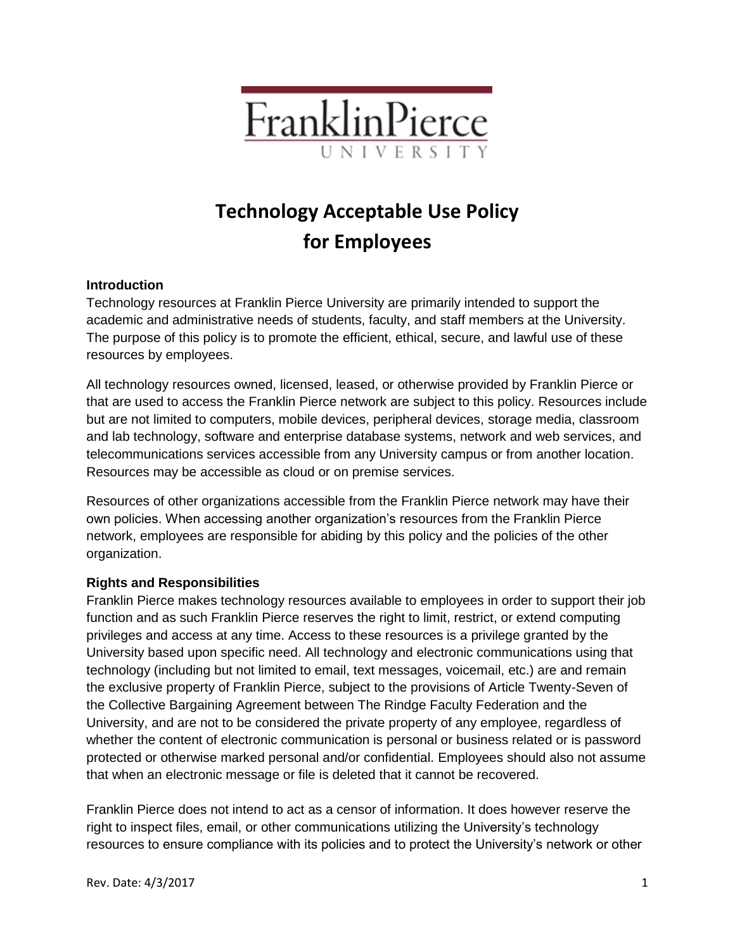

# **Technology Acceptable Use Policy for Employees**

## **Introduction**

Technology resources at Franklin Pierce University are primarily intended to support the academic and administrative needs of students, faculty, and staff members at the University. The purpose of this policy is to promote the efficient, ethical, secure, and lawful use of these resources by employees.

All technology resources owned, licensed, leased, or otherwise provided by Franklin Pierce or that are used to access the Franklin Pierce network are subject to this policy. Resources include but are not limited to computers, mobile devices, peripheral devices, storage media, classroom and lab technology, software and enterprise database systems, network and web services, and telecommunications services accessible from any University campus or from another location. Resources may be accessible as cloud or on premise services.

Resources of other organizations accessible from the Franklin Pierce network may have their own policies. When accessing another organization's resources from the Franklin Pierce network, employees are responsible for abiding by this policy and the policies of the other organization.

## **Rights and Responsibilities**

Franklin Pierce makes technology resources available to employees in order to support their job function and as such Franklin Pierce reserves the right to limit, restrict, or extend computing privileges and access at any time. Access to these resources is a privilege granted by the University based upon specific need. All technology and electronic communications using that technology (including but not limited to email, text messages, voicemail, etc.) are and remain the exclusive property of Franklin Pierce, subject to the provisions of Article Twenty-Seven of the Collective Bargaining Agreement between The Rindge Faculty Federation and the University, and are not to be considered the private property of any employee, regardless of whether the content of electronic communication is personal or business related or is password protected or otherwise marked personal and/or confidential. Employees should also not assume that when an electronic message or file is deleted that it cannot be recovered.

Franklin Pierce does not intend to act as a censor of information. It does however reserve the right to inspect files, email, or other communications utilizing the University's technology resources to ensure compliance with its policies and to protect the University's network or other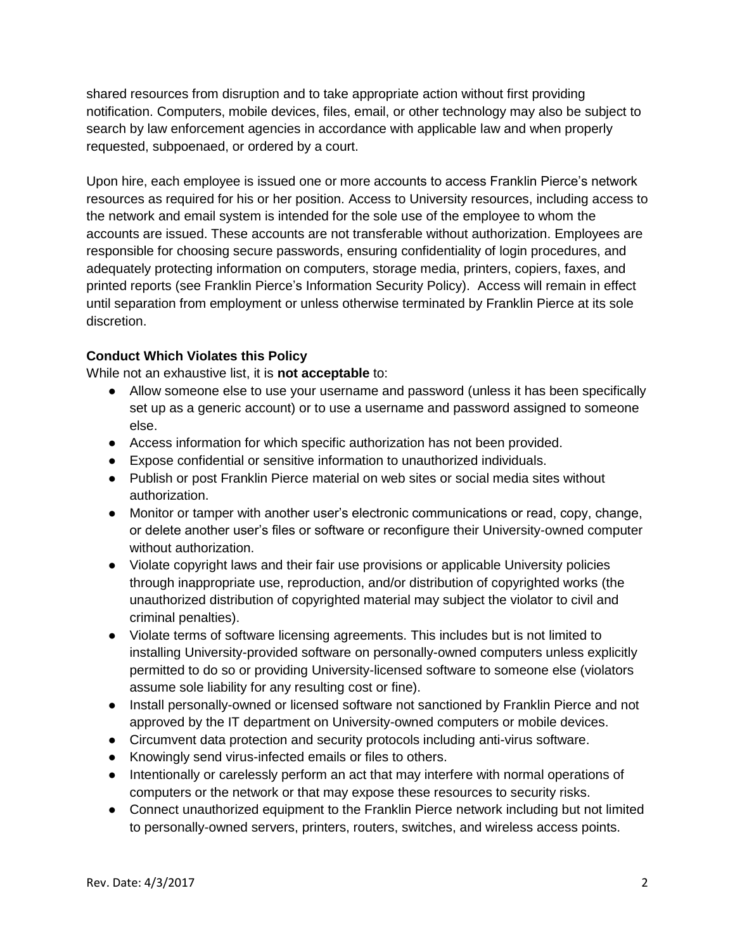shared resources from disruption and to take appropriate action without first providing notification. Computers, mobile devices, files, email, or other technology may also be subject to search by law enforcement agencies in accordance with applicable law and when properly requested, subpoenaed, or ordered by a court.

Upon hire, each employee is issued one or more accounts to access Franklin Pierce's network resources as required for his or her position. Access to University resources, including access to the network and email system is intended for the sole use of the employee to whom the accounts are issued. These accounts are not transferable without authorization. Employees are responsible for choosing secure passwords, ensuring confidentiality of login procedures, and adequately protecting information on computers, storage media, printers, copiers, faxes, and printed reports (see Franklin Pierce's Information Security Policy). Access will remain in effect until separation from employment or unless otherwise terminated by Franklin Pierce at its sole discretion.

## **Conduct Which Violates this Policy**

While not an exhaustive list, it is **not acceptable** to:

- Allow someone else to use your username and password (unless it has been specifically set up as a generic account) or to use a username and password assigned to someone else.
- **●** Access information for which specific authorization has not been provided.
- **●** Expose confidential or sensitive information to unauthorized individuals.
- **●** Publish or post Franklin Pierce material on web sites or social media sites without authorization.
- **●** Monitor or tamper with another user's electronic communications or read, copy, change, or delete another user's files or software or reconfigure their University-owned computer without authorization.
- **●** Violate copyright laws and their fair use provisions or applicable University policies through inappropriate use, reproduction, and/or distribution of copyrighted works (the unauthorized distribution of copyrighted material may subject the violator to civil and criminal penalties).
- **●** Violate terms of software licensing agreements. This includes but is not limited to installing University-provided software on personally-owned computers unless explicitly permitted to do so or providing University-licensed software to someone else (violators assume sole liability for any resulting cost or fine).
- **●** Install personally-owned or licensed software not sanctioned by Franklin Pierce and not approved by the IT department on University-owned computers or mobile devices.
- **●** Circumvent data protection and security protocols including anti-virus software.
- **●** Knowingly send virus-infected emails or files to others.
- **●** Intentionally or carelessly perform an act that may interfere with normal operations of computers or the network or that may expose these resources to security risks.
- **●** Connect unauthorized equipment to the Franklin Pierce network including but not limited to personally-owned servers, printers, routers, switches, and wireless access points.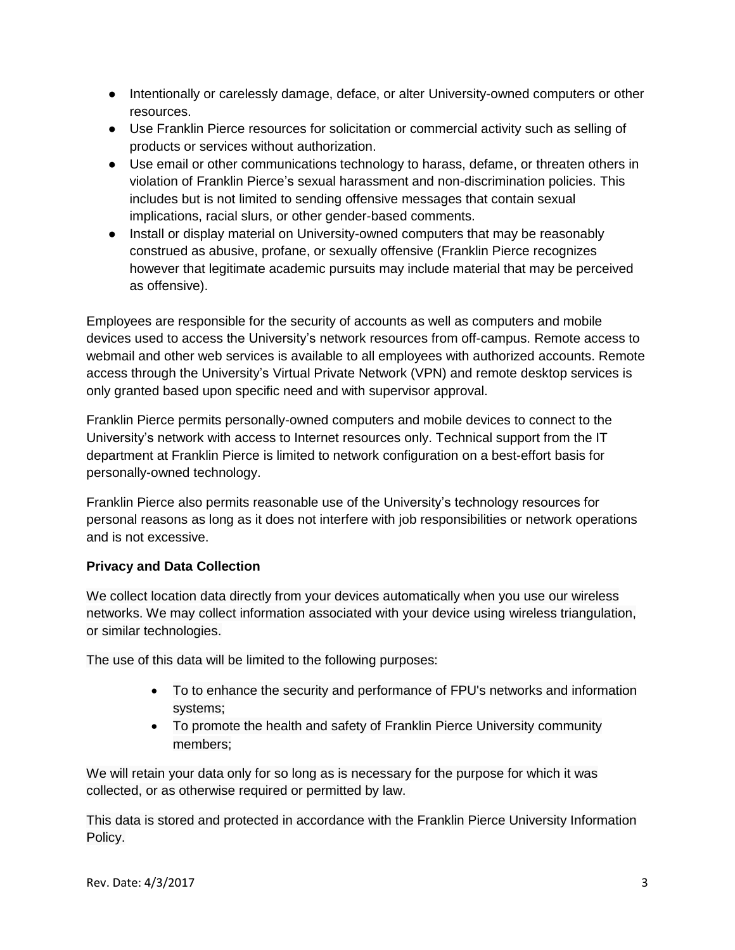- **●** Intentionally or carelessly damage, deface, or alter University-owned computers or other resources.
- **●** Use Franklin Pierce resources for solicitation or commercial activity such as selling of products or services without authorization.
- **●** Use email or other communications technology to harass, defame, or threaten others in violation of Franklin Pierce's sexual harassment and non-discrimination policies. This includes but is not limited to sending offensive messages that contain sexual implications, racial slurs, or other gender-based comments.
- **●** Install or display material on University-owned computers that may be reasonably construed as abusive, profane, or sexually offensive (Franklin Pierce recognizes however that legitimate academic pursuits may include material that may be perceived as offensive).

Employees are responsible for the security of accounts as well as computers and mobile devices used to access the University's network resources from off-campus. Remote access to webmail and other web services is available to all employees with authorized accounts. Remote access through the University's Virtual Private Network (VPN) and remote desktop services is only granted based upon specific need and with supervisor approval.

Franklin Pierce permits personally-owned computers and mobile devices to connect to the University's network with access to Internet resources only. Technical support from the IT department at Franklin Pierce is limited to network configuration on a best-effort basis for personally-owned technology.

Franklin Pierce also permits reasonable use of the University's technology resources for personal reasons as long as it does not interfere with job responsibilities or network operations and is not excessive.

## **Privacy and Data Collection**

We collect location data directly from your devices automatically when you use our wireless networks. We may collect information associated with your device using wireless triangulation, or similar technologies.

The use of this data will be limited to the following purposes:

- To to enhance the security and performance of FPU's networks and information systems;
- To promote the health and safety of Franklin Pierce University community members;

We will retain your data only for so long as is necessary for the purpose for which it was collected, or as otherwise required or permitted by law.

This data is stored and protected in accordance with the Franklin Pierce University Information Policy.